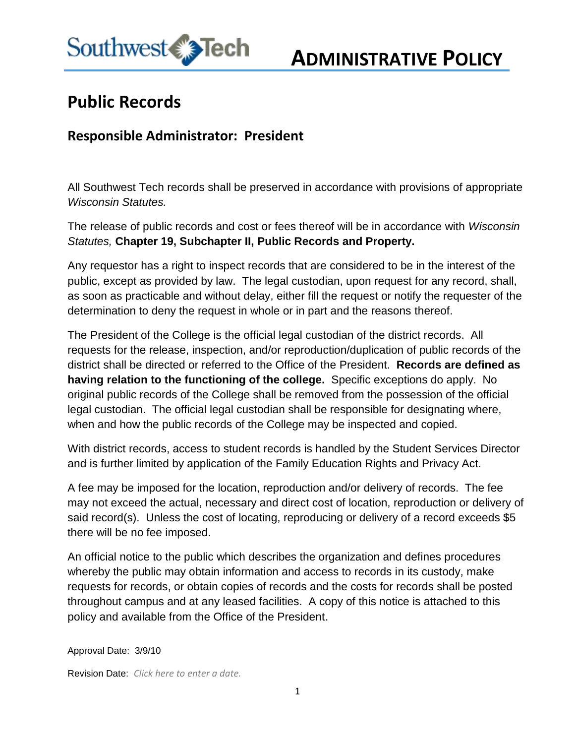

## **ADMINISTRATIVE POLICY**

## **Public Records**

## **Responsible Administrator: President**

All Southwest Tech records shall be preserved in accordance with provisions of appropriate *Wisconsin Statutes.* 

The release of public records and cost or fees thereof will be in accordance with *Wisconsin Statutes,* **Chapter 19, Subchapter II, Public Records and Property.**

Any requestor has a right to inspect records that are considered to be in the interest of the public, except as provided by law. The legal custodian, upon request for any record, shall, as soon as practicable and without delay, either fill the request or notify the requester of the determination to deny the request in whole or in part and the reasons thereof.

The President of the College is the official legal custodian of the district records. All requests for the release, inspection, and/or reproduction/duplication of public records of the district shall be directed or referred to the Office of the President. **Records are defined as having relation to the functioning of the college.** Specific exceptions do apply. No original public records of the College shall be removed from the possession of the official legal custodian. The official legal custodian shall be responsible for designating where, when and how the public records of the College may be inspected and copied.

With district records, access to student records is handled by the Student Services Director and is further limited by application of the Family Education Rights and Privacy Act.

A fee may be imposed for the location, reproduction and/or delivery of records. The fee may not exceed the actual, necessary and direct cost of location, reproduction or delivery of said record(s). Unless the cost of locating, reproducing or delivery of a record exceeds \$5 there will be no fee imposed.

An official notice to the public which describes the organization and defines procedures whereby the public may obtain information and access to records in its custody, make requests for records, or obtain copies of records and the costs for records shall be posted throughout campus and at any leased facilities. A copy of this notice is attached to this policy and available from the Office of the President.

Approval Date: 3/9/10

Revision Date: *Click here to enter a date.*